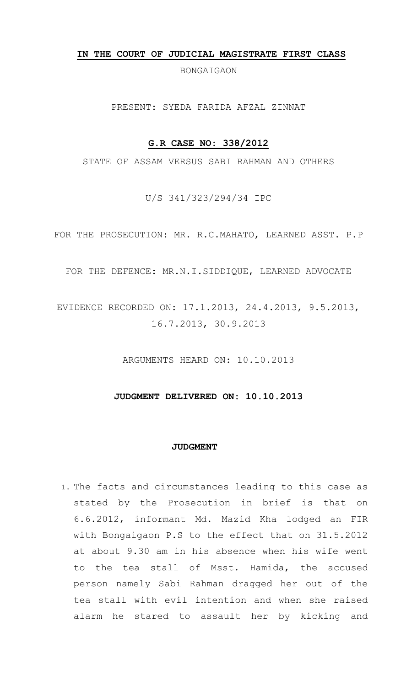#### **IN THE COURT OF JUDICIAL MAGISTRATE FIRST CLASS**

BONGAIGAON

PRESENT: SYEDA FARIDA AFZAL ZINNAT

## **G.R CASE NO: 338/2012**

STATE OF ASSAM VERSUS SABI RAHMAN AND OTHERS

U/S 341/323/294/34 IPC

FOR THE PROSECUTION: MR. R.C.MAHATO, LEARNED ASST. P.P

FOR THE DEFENCE: MR.N.I.SIDDIQUE, LEARNED ADVOCATE

EVIDENCE RECORDED ON: 17.1.2013, 24.4.2013, 9.5.2013, 16.7.2013, 30.9.2013

ARGUMENTS HEARD ON: 10.10.2013

## **JUDGMENT DELIVERED ON: 10.10.2013**

#### **JUDGMENT**

1. The facts and circumstances leading to this case as stated by the Prosecution in brief is that on 6.6.2012, informant Md. Mazid Kha lodged an FIR with Bongaigaon P.S to the effect that on 31.5.2012 at about 9.30 am in his absence when his wife went to the tea stall of Msst. Hamida, the accused person namely Sabi Rahman dragged her out of the tea stall with evil intention and when she raised alarm he stared to assault her by kicking and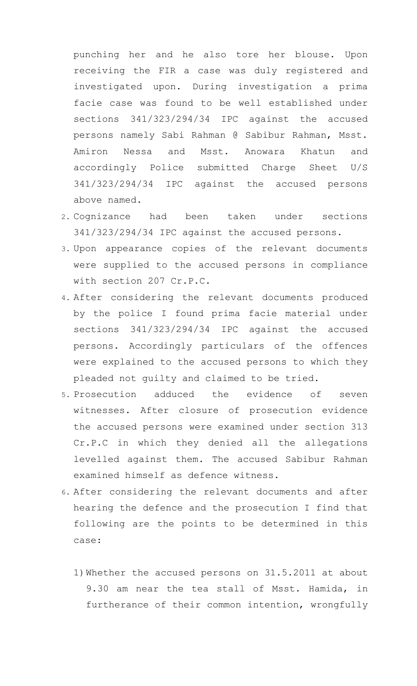punching her and he also tore her blouse. Upon receiving the FIR a case was duly registered and investigated upon. During investigation a prima facie case was found to be well established under sections 341/323/294/34 IPC against the accused persons namely Sabi Rahman @ Sabibur Rahman, Msst. Amiron Nessa and Msst. Anowara Khatun and accordingly Police submitted Charge Sheet U/S 341/323/294/34 IPC against the accused persons above named.

- 2. Cognizance had been taken under sections 341/323/294/34 IPC against the accused persons.
- 3. Upon appearance copies of the relevant documents were supplied to the accused persons in compliance with section 207 Cr.P.C.
- 4. After considering the relevant documents produced by the police I found prima facie material under sections 341/323/294/34 IPC against the accused persons. Accordingly particulars of the offences were explained to the accused persons to which they pleaded not guilty and claimed to be tried.
- 5. Prosecution adduced the evidence of seven witnesses. After closure of prosecution evidence the accused persons were examined under section 313 Cr.P.C in which they denied all the allegations levelled against them. The accused Sabibur Rahman examined himself as defence witness.
- 6. After considering the relevant documents and after hearing the defence and the prosecution I find that following are the points to be determined in this case:
	- 1)Whether the accused persons on 31.5.2011 at about 9.30 am near the tea stall of Msst. Hamida, in furtherance of their common intention, wrongfully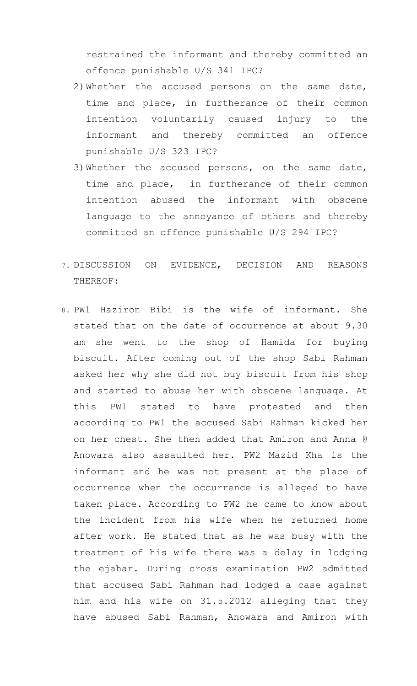restrained the informant and thereby committed an offence punishable U/S 341 IPC?

- 2)Whether the accused persons on the same date, time and place, in furtherance of their common intention voluntarily caused injury to the informant and thereby committed an offence punishable U/S 323 IPC?
- 3)Whether the accused persons, on the same date, time and place, in furtherance of their common intention abused the informant with obscene language to the annoyance of others and thereby committed an offence punishable U/S 294 IPC?
- 7. DISCUSSION ON EVIDENCE, DECISION AND REASONS THEREOF:
- 8. PW1 Haziron Bibi is the wife of informant. She stated that on the date of occurrence at about 9.30 am she went to the shop of Hamida for buying biscuit. After coming out of the shop Sabi Rahman asked her why she did not buy biscuit from his shop and started to abuse her with obscene language. At this PW1 stated to have protested and then according to PW1 the accused Sabi Rahman kicked her on her chest. She then added that Amiron and Anna @ Anowara also assaulted her. PW2 Mazid Kha is the informant and he was not present at the place of occurrence when the occurrence is alleged to have taken place. According to PW2 he came to know about the incident from his wife when he returned home after work. He stated that as he was busy with the treatment of his wife there was a delay in lodging the ejahar. During cross examination PW2 admitted that accused Sabi Rahman had lodged a case against him and his wife on 31.5.2012 alleging that they have abused Sabi Rahman, Anowara and Amiron with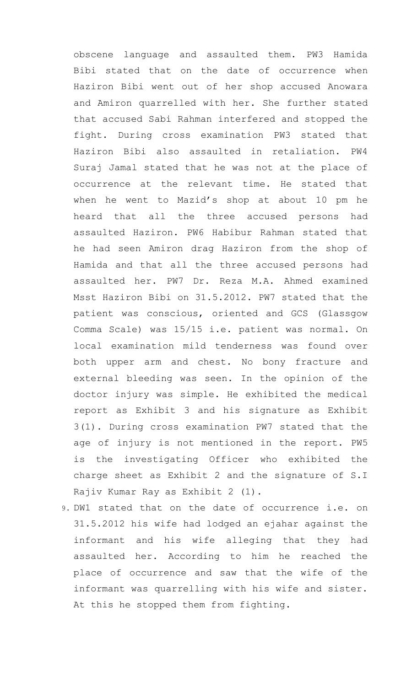obscene language and assaulted them. PW3 Hamida Bibi stated that on the date of occurrence when Haziron Bibi went out of her shop accused Anowara and Amiron quarrelled with her. She further stated that accused Sabi Rahman interfered and stopped the fight. During cross examination PW3 stated that Haziron Bibi also assaulted in retaliation. PW4 Suraj Jamal stated that he was not at the place of occurrence at the relevant time. He stated that when he went to Mazid's shop at about 10 pm he heard that all the three accused persons had assaulted Haziron. PW6 Habibur Rahman stated that he had seen Amiron drag Haziron from the shop of Hamida and that all the three accused persons had assaulted her. PW7 Dr. Reza M.A. Ahmed examined Msst Haziron Bibi on 31.5.2012. PW7 stated that the patient was conscious, oriented and GCS (Glassgow Comma Scale) was 15/15 i.e. patient was normal. On local examination mild tenderness was found over both upper arm and chest. No bony fracture and external bleeding was seen. In the opinion of the doctor injury was simple. He exhibited the medical report as Exhibit 3 and his signature as Exhibit 3(1). During cross examination PW7 stated that the age of injury is not mentioned in the report. PW5 is the investigating Officer who exhibited the charge sheet as Exhibit 2 and the signature of S.I Rajiv Kumar Ray as Exhibit 2 (1).

9. DW1 stated that on the date of occurrence i.e. on 31.5.2012 his wife had lodged an ejahar against the informant and his wife alleging that they had assaulted her. According to him he reached the place of occurrence and saw that the wife of the informant was quarrelling with his wife and sister. At this he stopped them from fighting.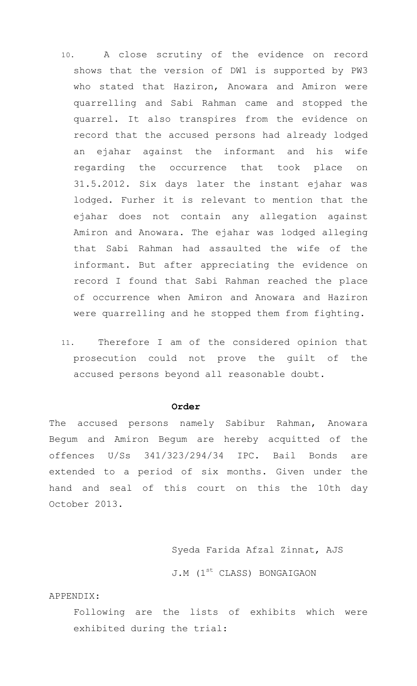- 10. A close scrutiny of the evidence on record shows that the version of DW1 is supported by PW3 who stated that Haziron, Anowara and Amiron were quarrelling and Sabi Rahman came and stopped the quarrel. It also transpires from the evidence on record that the accused persons had already lodged an ejahar against the informant and his wife regarding the occurrence that took place on 31.5.2012. Six days later the instant ejahar was lodged. Furher it is relevant to mention that the ejahar does not contain any allegation against Amiron and Anowara. The ejahar was lodged alleging that Sabi Rahman had assaulted the wife of the informant. But after appreciating the evidence on record I found that Sabi Rahman reached the place of occurrence when Amiron and Anowara and Haziron were quarrelling and he stopped them from fighting.
- 11. Therefore I am of the considered opinion that prosecution could not prove the guilt of the accused persons beyond all reasonable doubt.

### **Order**

The accused persons namely Sabibur Rahman, Anowara Begum and Amiron Begum are hereby acquitted of the offences U/Ss 341/323/294/34 IPC. Bail Bonds are extended to a period of six months. Given under the hand and seal of this court on this the 10th day October 2013.

# Syeda Farida Afzal Zinnat, AJS

J.M (1<sup>st</sup> CLASS) BONGAIGAON

APPENDIX:

Following are the lists of exhibits which were exhibited during the trial: